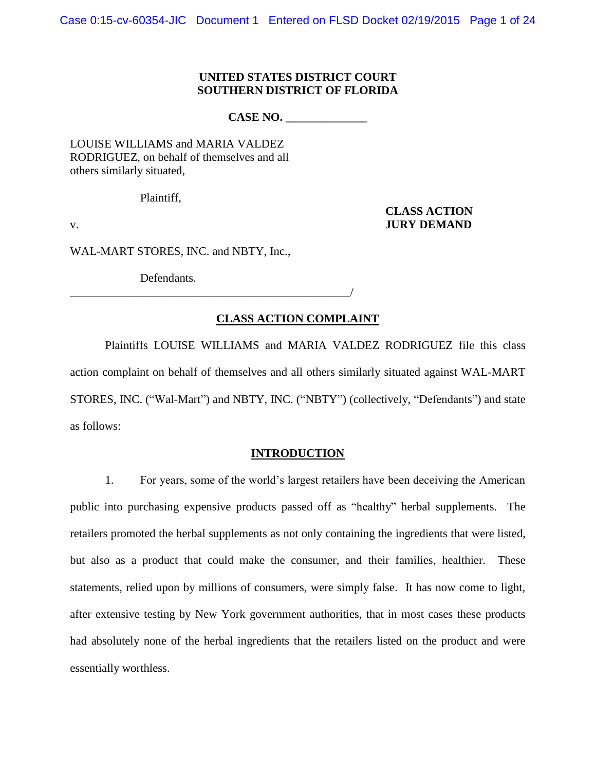## **UNITED STATES DISTRICT COURT SOUTHERN DISTRICT OF FLORIDA**

**CASE NO. \_\_\_\_\_\_\_\_\_\_\_\_\_\_**

LOUISE WILLIAMS and MARIA VALDEZ RODRIGUEZ, on behalf of themselves and all others similarly situated,

Plaintiff,

**CLASS ACTION** v. **JURY DEMAND** 

WAL-MART STORES, INC. and NBTY, Inc.,

\_\_\_\_\_\_\_\_\_\_\_\_\_\_\_\_\_\_\_\_\_\_\_\_\_\_\_\_\_\_\_\_\_\_\_\_\_\_\_\_\_\_\_\_\_\_\_\_/

Defendants.

## **CLASS ACTION COMPLAINT**

Plaintiffs LOUISE WILLIAMS and MARIA VALDEZ RODRIGUEZ file this class action complaint on behalf of themselves and all others similarly situated against WAL-MART STORES, INC. ("Wal-Mart") and NBTY, INC. ("NBTY") (collectively, "Defendants") and state as follows:

## **INTRODUCTION**

1. For years, some of the world's largest retailers have been deceiving the American public into purchasing expensive products passed off as "healthy" herbal supplements. The retailers promoted the herbal supplements as not only containing the ingredients that were listed, but also as a product that could make the consumer, and their families, healthier. These statements, relied upon by millions of consumers, were simply false. It has now come to light, after extensive testing by New York government authorities, that in most cases these products had absolutely none of the herbal ingredients that the retailers listed on the product and were essentially worthless.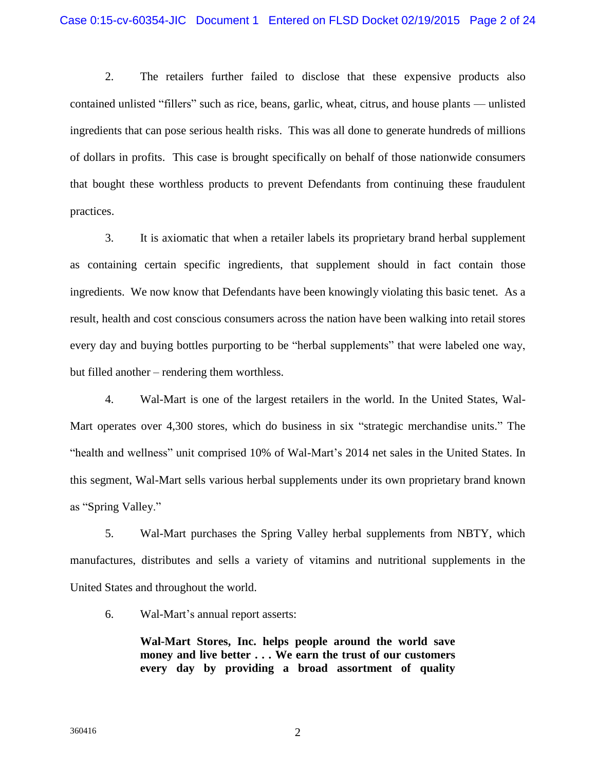2. The retailers further failed to disclose that these expensive products also contained unlisted "fillers" such as rice, beans, garlic, wheat, citrus, and house plants — unlisted ingredients that can pose serious health risks. This was all done to generate hundreds of millions of dollars in profits. This case is brought specifically on behalf of those nationwide consumers that bought these worthless products to prevent Defendants from continuing these fraudulent practices.

3. It is axiomatic that when a retailer labels its proprietary brand herbal supplement as containing certain specific ingredients, that supplement should in fact contain those ingredients. We now know that Defendants have been knowingly violating this basic tenet. As a result, health and cost conscious consumers across the nation have been walking into retail stores every day and buying bottles purporting to be "herbal supplements" that were labeled one way, but filled another – rendering them worthless.

4. Wal-Mart is one of the largest retailers in the world. In the United States, Wal-Mart operates over 4,300 stores, which do business in six "strategic merchandise units." The "health and wellness" unit comprised 10% of Wal-Mart's 2014 net sales in the United States. In this segment, Wal-Mart sells various herbal supplements under its own proprietary brand known as "Spring Valley."

5. Wal-Mart purchases the Spring Valley herbal supplements from NBTY, which manufactures, distributes and sells a variety of vitamins and nutritional supplements in the United States and throughout the world.

6. Wal-Mart's annual report asserts:

**Wal-Mart Stores, Inc. helps people around the world save money and live better . . . We earn the trust of our customers every day by providing a broad assortment of quality**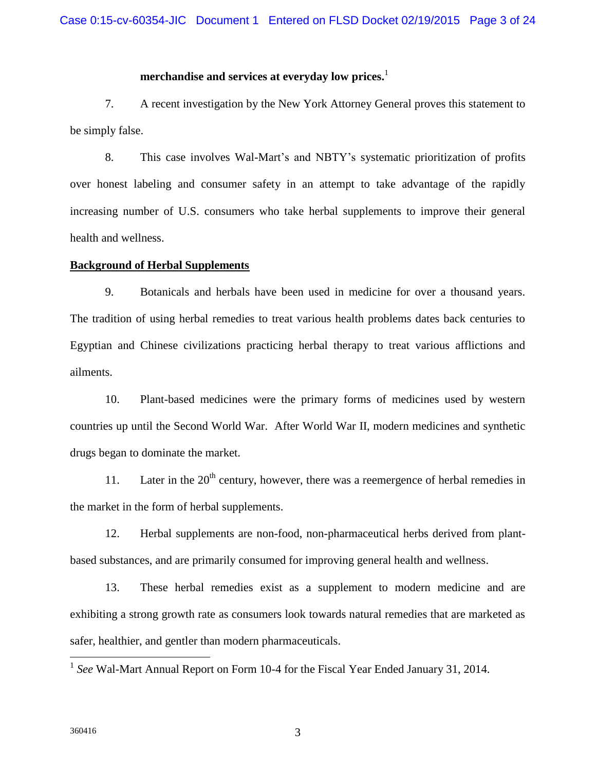## **merchandise and services at everyday low prices.** 1

7. A recent investigation by the New York Attorney General proves this statement to be simply false.

8. This case involves Wal-Mart's and NBTY's systematic prioritization of profits over honest labeling and consumer safety in an attempt to take advantage of the rapidly increasing number of U.S. consumers who take herbal supplements to improve their general health and wellness.

#### **Background of Herbal Supplements**

9. Botanicals and herbals have been used in medicine for over a thousand years. The tradition of using herbal remedies to treat various health problems dates back centuries to Egyptian and Chinese civilizations practicing herbal therapy to treat various afflictions and ailments.

10. Plant-based medicines were the primary forms of medicines used by western countries up until the Second World War. After World War II, modern medicines and synthetic drugs began to dominate the market.

11. Later in the  $20<sup>th</sup>$  century, however, there was a reemergence of herbal remedies in the market in the form of herbal supplements.

12. Herbal supplements are non-food, non-pharmaceutical herbs derived from plantbased substances, and are primarily consumed for improving general health and wellness.

13. These herbal remedies exist as a supplement to modern medicine and are exhibiting a strong growth rate as consumers look towards natural remedies that are marketed as safer, healthier, and gentler than modern pharmaceuticals.

<sup>1</sup> See Wal-Mart Annual Report on Form 10-4 for the Fiscal Year Ended January 31, 2014.

 $\overline{a}$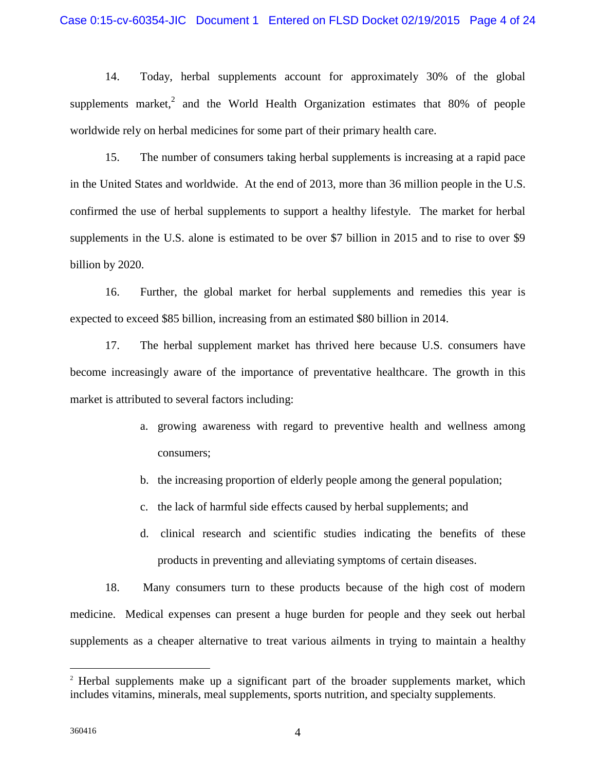## Case 0:15-cv-60354-JIC Document 1 Entered on FLSD Docket 02/19/2015 Page 4 of 24

14. Today, herbal supplements account for approximately 30% of the global supplements market,<sup>2</sup> and the World Health Organization estimates that 80% of people worldwide rely on herbal medicines for some part of their primary health care.

15. The number of consumers taking herbal supplements is increasing at a rapid pace in the United States and worldwide. At the end of 2013, more than 36 million people in the U.S. confirmed the use of herbal supplements to support a healthy lifestyle. The market for herbal supplements in the U.S. alone is estimated to be over \$7 billion in 2015 and to rise to over \$9 billion by 2020.

16. Further, the global market for herbal supplements and remedies this year is expected to exceed \$85 billion, increasing from an estimated \$80 billion in 2014.

17. The herbal supplement market has thrived here because U.S. consumers have become increasingly aware of the importance of preventative healthcare. The growth in this market is attributed to several factors including:

- a. growing awareness with regard to preventive health and wellness among consumers;
- b. the increasing proportion of elderly people among the general population;
- c. the lack of harmful side effects caused by herbal supplements; and
- d. clinical research and scientific studies indicating the benefits of these products in preventing and alleviating symptoms of certain diseases.

18. Many consumers turn to these products because of the high cost of modern medicine. Medical expenses can present a huge burden for people and they seek out herbal supplements as a cheaper alternative to treat various ailments in trying to maintain a healthy

 $\overline{a}$ 

<sup>&</sup>lt;sup>2</sup> Herbal supplements make up a significant part of the broader supplements market, which includes vitamins, minerals, meal supplements, sports nutrition, and specialty supplements.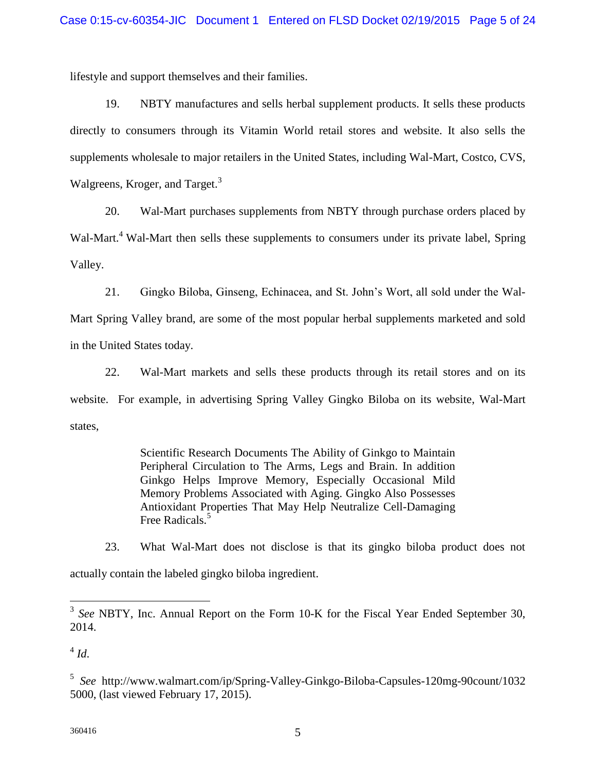lifestyle and support themselves and their families.

19. NBTY manufactures and sells herbal supplement products. It sells these products directly to consumers through its Vitamin World retail stores and website. It also sells the supplements wholesale to major retailers in the United States, including Wal-Mart, Costco, CVS, Walgreens, Kroger, and Target.<sup>3</sup>

20. Wal-Mart purchases supplements from NBTY through purchase orders placed by Wal-Mart.<sup>4</sup> Wal-Mart then sells these supplements to consumers under its private label, Spring Valley.

21. Gingko Biloba, Ginseng, Echinacea, and St. John's Wort, all sold under the Wal-Mart Spring Valley brand, are some of the most popular herbal supplements marketed and sold in the United States today.

22. Wal-Mart markets and sells these products through its retail stores and on its website. For example, in advertising Spring Valley Gingko Biloba on its website, Wal-Mart states,

> Scientific Research Documents The Ability of Ginkgo to Maintain Peripheral Circulation to The Arms, Legs and Brain. In addition Ginkgo Helps Improve Memory, Especially Occasional Mild Memory Problems Associated with Aging. Gingko Also Possesses Antioxidant Properties That May Help Neutralize Cell-Damaging Free Radicals.<sup>5</sup>

23. What Wal-Mart does not disclose is that its gingko biloba product does not actually contain the labeled gingko biloba ingredient.

<sup>&</sup>lt;sup>3</sup> See NBTY, Inc. Annual Report on the Form 10-K for the Fiscal Year Ended September 30, 2014.

 $^4$  *Id.* 

<sup>5</sup> *See* http://www.walmart.com/ip/Spring-Valley-Ginkgo-Biloba-Capsules-120mg-90count/1032 5000, (last viewed February 17, 2015).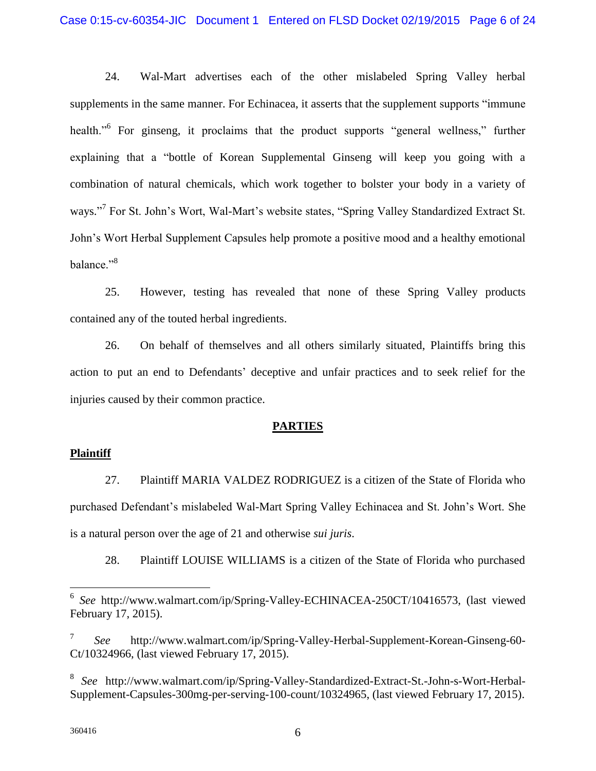## Case 0:15-cv-60354-JIC Document 1 Entered on FLSD Docket 02/19/2015 Page 6 of 24

24. Wal-Mart advertises each of the other mislabeled Spring Valley herbal supplements in the same manner. For Echinacea, it asserts that the supplement supports "immune health."<sup>6</sup> For ginseng, it proclaims that the product supports "general wellness," further explaining that a "bottle of Korean Supplemental Ginseng will keep you going with a combination of natural chemicals, which work together to bolster your body in a variety of ways."<sup>7</sup> For St. John's Wort, Wal-Mart's website states, "Spring Valley Standardized Extract St. John's Wort Herbal Supplement Capsules help promote a positive mood and a healthy emotional balance."<sup>8</sup>

25. However, testing has revealed that none of these Spring Valley products contained any of the touted herbal ingredients.

26. On behalf of themselves and all others similarly situated, Plaintiffs bring this action to put an end to Defendants' deceptive and unfair practices and to seek relief for the injuries caused by their common practice.

## **PARTIES**

## **Plaintiff**

27. Plaintiff MARIA VALDEZ RODRIGUEZ is a citizen of the State of Florida who purchased Defendant's mislabeled Wal-Mart Spring Valley Echinacea and St. John's Wort. She is a natural person over the age of 21 and otherwise *sui juris*.

28. Plaintiff LOUISE WILLIAMS is a citizen of the State of Florida who purchased

 $\overline{a}$ 

<sup>6</sup> *See* http://www.walmart.com/ip/Spring-Valley-ECHINACEA-250CT/10416573, (last viewed February 17, 2015).

<sup>7</sup> *See* http://www.walmart.com/ip/Spring-Valley-Herbal-Supplement-Korean-Ginseng-60- Ct/10324966, (last viewed February 17, 2015).

<sup>8</sup> *See* http://www.walmart.com/ip/Spring-Valley-Standardized-Extract-St.-John-s-Wort-Herbal-Supplement-Capsules-300mg-per-serving-100-count/10324965, (last viewed February 17, 2015).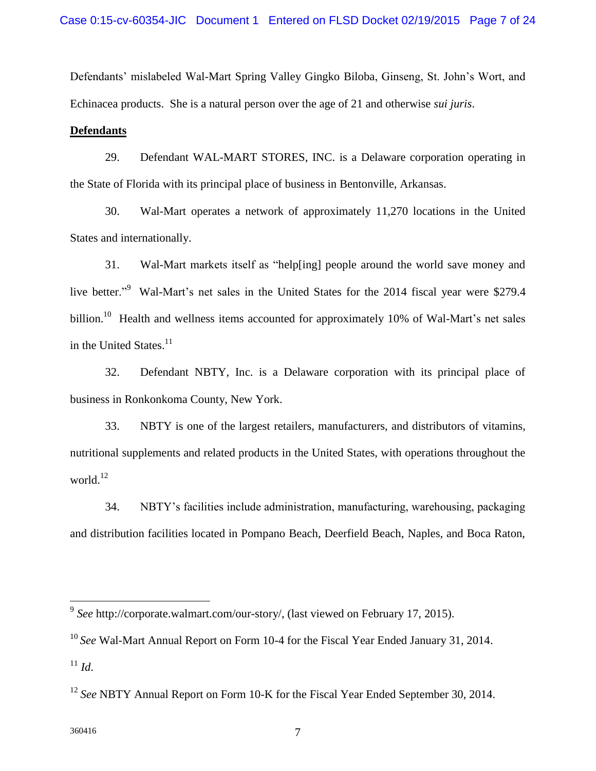Defendants' mislabeled Wal-Mart Spring Valley Gingko Biloba, Ginseng, St. John's Wort, and Echinacea products. She is a natural person over the age of 21 and otherwise *sui juris*.

## **Defendants**

29. Defendant WAL-MART STORES, INC. is a Delaware corporation operating in the State of Florida with its principal place of business in Bentonville, Arkansas.

30. Wal-Mart operates a network of approximately 11,270 locations in the United States and internationally.

31. Wal-Mart markets itself as "help[ing] people around the world save money and live better."<sup>9</sup> Wal-Mart's net sales in the United States for the 2014 fiscal year were \$279.4 billion.<sup>10</sup> Health and wellness items accounted for approximately 10% of Wal-Mart's net sales in the United States. $11$ 

32. Defendant NBTY, Inc. is a Delaware corporation with its principal place of business in Ronkonkoma County, New York.

33. NBTY is one of the largest retailers, manufacturers, and distributors of vitamins, nutritional supplements and related products in the United States, with operations throughout the world.<sup>12</sup>

34. NBTY's facilities include administration, manufacturing, warehousing, packaging and distribution facilities located in Pompano Beach, Deerfield Beach, Naples, and Boca Raton,

 9 *See* http://corporate.walmart.com/our-story/, (last viewed on February 17, 2015).

<sup>10</sup> *See* Wal-Mart Annual Report on Form 10-4 for the Fiscal Year Ended January 31, 2014.  $11 \, Id.$ 

<sup>&</sup>lt;sup>12</sup> See NBTY Annual Report on Form 10-K for the Fiscal Year Ended September 30, 2014.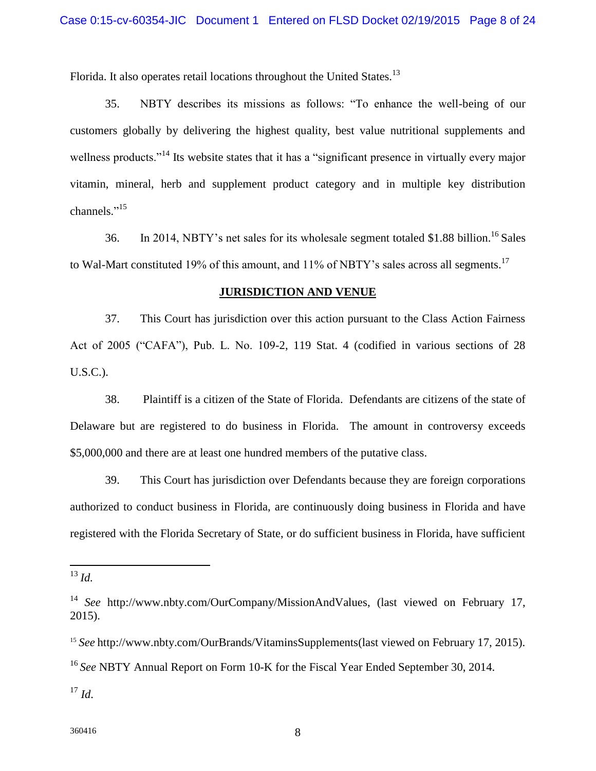Florida. It also operates retail locations throughout the United States.<sup>13</sup>

35. NBTY describes its missions as follows: "To enhance the well-being of our customers globally by delivering the highest quality, best value nutritional supplements and wellness products."<sup>14</sup> Its website states that it has a "significant presence in virtually every major vitamin, mineral, herb and supplement product category and in multiple key distribution channels."<sup>15</sup>

36. In 2014, NBTY's net sales for its wholesale segment totaled \$1.88 billion.<sup>16</sup> Sales to Wal-Mart constituted 19% of this amount, and 11% of NBTY's sales across all segments.<sup>17</sup>

## **JURISDICTION AND VENUE**

37. This Court has jurisdiction over this action pursuant to the Class Action Fairness Act of 2005 ("CAFA"), Pub. L. No. 109-2, 119 Stat. 4 (codified in various sections of 28 U.S.C.).

38. Plaintiff is a citizen of the State of Florida. Defendants are citizens of the state of Delaware but are registered to do business in Florida. The amount in controversy exceeds \$5,000,000 and there are at least one hundred members of the putative class.

39. This Court has jurisdiction over Defendants because they are foreign corporations authorized to conduct business in Florida, are continuously doing business in Florida and have registered with the Florida Secretary of State, or do sufficient business in Florida, have sufficient

<sup>13</sup> *Id.*

 $\overline{a}$ 

<sup>15</sup> *See* http://www.nbty.com/OurBrands/VitaminsSupplements(last viewed on February 17, 2015). <sup>16</sup> *See* NBTY Annual Report on Form 10-K for the Fiscal Year Ended September 30, 2014.

 $^{17}$  *Id.* 

<sup>14</sup> *See* http://www.nbty.com/OurCompany/MissionAndValues, (last viewed on February 17, 2015).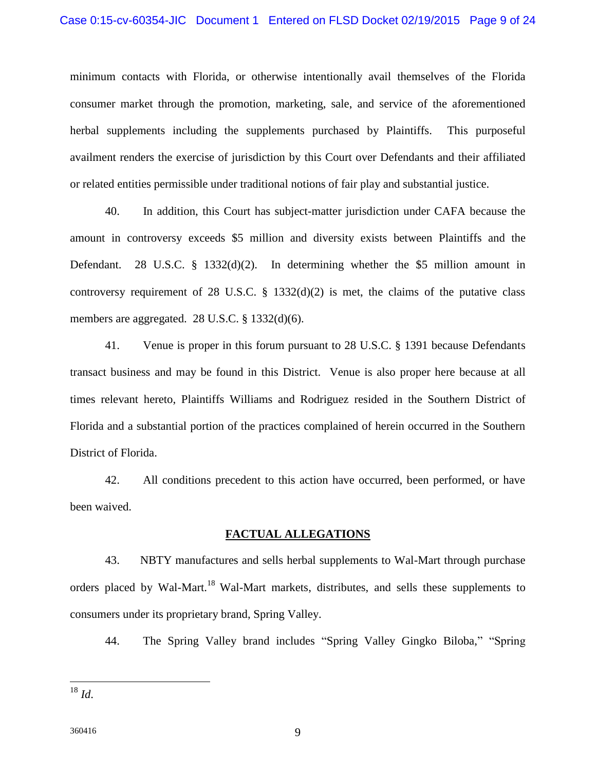minimum contacts with Florida, or otherwise intentionally avail themselves of the Florida consumer market through the promotion, marketing, sale, and service of the aforementioned herbal supplements including the supplements purchased by Plaintiffs. This purposeful availment renders the exercise of jurisdiction by this Court over Defendants and their affiliated or related entities permissible under traditional notions of fair play and substantial justice.

40. In addition, this Court has subject-matter jurisdiction under CAFA because the amount in controversy exceeds \$5 million and diversity exists between Plaintiffs and the Defendant. 28 U.S.C.  $\S$  1332(d)(2). In determining whether the \$5 million amount in controversy requirement of 28 U.S.C.  $\S$  1332(d)(2) is met, the claims of the putative class members are aggregated. 28 U.S.C. § 1332(d)(6).

41. Venue is proper in this forum pursuant to 28 U.S.C. § 1391 because Defendants transact business and may be found in this District. Venue is also proper here because at all times relevant hereto, Plaintiffs Williams and Rodriguez resided in the Southern District of Florida and a substantial portion of the practices complained of herein occurred in the Southern District of Florida.

42. All conditions precedent to this action have occurred, been performed, or have been waived.

## **FACTUAL ALLEGATIONS**

43. NBTY manufactures and sells herbal supplements to Wal-Mart through purchase orders placed by Wal-Mart.<sup>18</sup> Wal-Mart markets, distributes, and sells these supplements to consumers under its proprietary brand, Spring Valley.

44. The Spring Valley brand includes "Spring Valley Gingko Biloba," "Spring

 $\overline{a}$ 

<sup>18</sup> *Id*.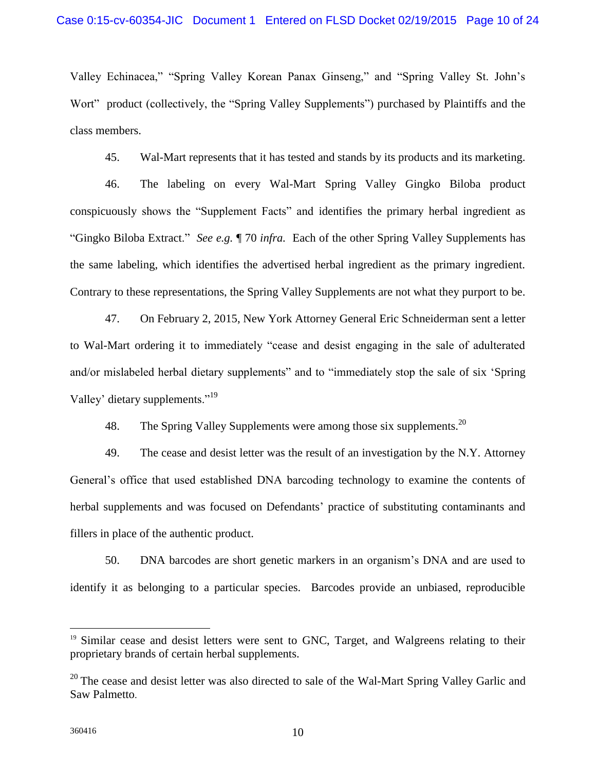Valley Echinacea," "Spring Valley Korean Panax Ginseng," and "Spring Valley St. John's Wort" product (collectively, the "Spring Valley Supplements") purchased by Plaintiffs and the class members.

45. Wal-Mart represents that it has tested and stands by its products and its marketing.

46. The labeling on every Wal-Mart Spring Valley Gingko Biloba product conspicuously shows the "Supplement Facts" and identifies the primary herbal ingredient as "Gingko Biloba Extract." *See e.g.* ¶ 70 *infra.* Each of the other Spring Valley Supplements has the same labeling, which identifies the advertised herbal ingredient as the primary ingredient. Contrary to these representations, the Spring Valley Supplements are not what they purport to be.

47. On February 2, 2015, New York Attorney General Eric Schneiderman sent a letter to Wal-Mart ordering it to immediately "cease and desist engaging in the sale of adulterated and/or mislabeled herbal dietary supplements" and to "immediately stop the sale of six 'Spring Valley' dietary supplements."<sup>19</sup>

48. The Spring Valley Supplements were among those six supplements. <sup>20</sup>

49. The cease and desist letter was the result of an investigation by the N.Y. Attorney General's office that used established DNA barcoding technology to examine the contents of herbal supplements and was focused on Defendants' practice of substituting contaminants and fillers in place of the authentic product.

50. DNA barcodes are short genetic markers in an organism's DNA and are used to identify it as belonging to a particular species. Barcodes provide an unbiased, reproducible

 $\overline{a}$ 

<sup>&</sup>lt;sup>19</sup> Similar cease and desist letters were sent to GNC, Target, and Walgreens relating to their proprietary brands of certain herbal supplements.

<sup>&</sup>lt;sup>20</sup> The cease and desist letter was also directed to sale of the Wal-Mart Spring Valley Garlic and Saw Palmetto.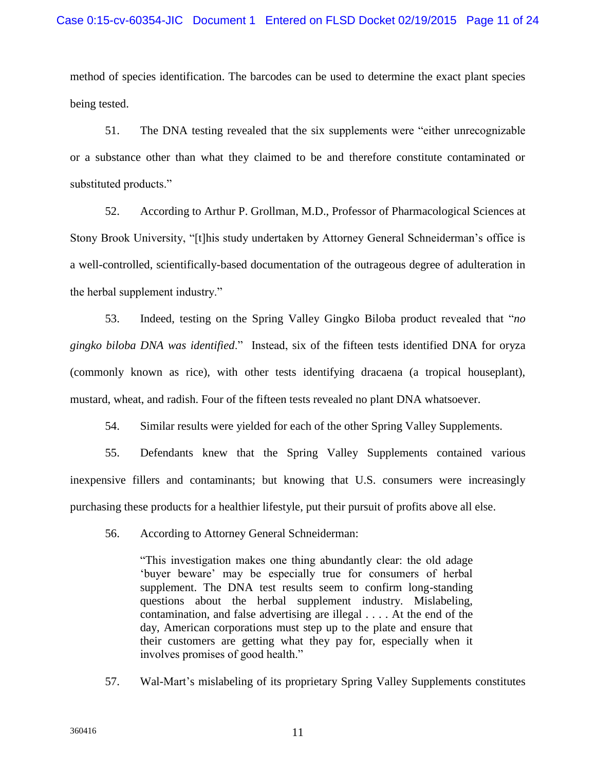method of species identification. The barcodes can be used to determine the exact plant species being tested.

51. The DNA testing revealed that the six supplements were "either unrecognizable or a substance other than what they claimed to be and therefore constitute contaminated or substituted products."

52. According to Arthur P. Grollman, M.D., Professor of Pharmacological Sciences at Stony Brook University, "[t]his study undertaken by Attorney General Schneiderman's office is a well-controlled, scientifically-based documentation of the outrageous degree of adulteration in the herbal supplement industry."

53. Indeed, testing on the Spring Valley Gingko Biloba product revealed that "*no gingko biloba DNA was identified*." Instead, six of the fifteen tests identified DNA for oryza (commonly known as rice), with other tests identifying dracaena (a tropical houseplant), mustard, wheat, and radish. Four of the fifteen tests revealed no plant DNA whatsoever.

54. Similar results were yielded for each of the other Spring Valley Supplements.

55. Defendants knew that the Spring Valley Supplements contained various inexpensive fillers and contaminants; but knowing that U.S. consumers were increasingly purchasing these products for a healthier lifestyle, put their pursuit of profits above all else.

56. According to Attorney General Schneiderman:

"This investigation makes one thing abundantly clear: the old adage 'buyer beware' may be especially true for consumers of herbal supplement. The DNA test results seem to confirm long-standing questions about the herbal supplement industry. Mislabeling, contamination, and false advertising are illegal . . . . At the end of the day, American corporations must step up to the plate and ensure that their customers are getting what they pay for, especially when it involves promises of good health."

57. Wal-Mart's mislabeling of its proprietary Spring Valley Supplements constitutes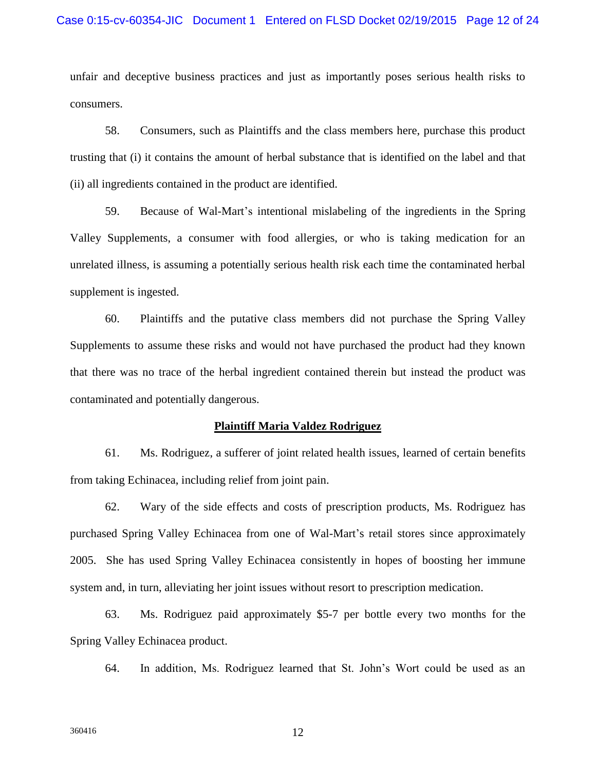unfair and deceptive business practices and just as importantly poses serious health risks to consumers.

58. Consumers, such as Plaintiffs and the class members here, purchase this product trusting that (i) it contains the amount of herbal substance that is identified on the label and that (ii) all ingredients contained in the product are identified.

59. Because of Wal-Mart's intentional mislabeling of the ingredients in the Spring Valley Supplements, a consumer with food allergies, or who is taking medication for an unrelated illness, is assuming a potentially serious health risk each time the contaminated herbal supplement is ingested.

60. Plaintiffs and the putative class members did not purchase the Spring Valley Supplements to assume these risks and would not have purchased the product had they known that there was no trace of the herbal ingredient contained therein but instead the product was contaminated and potentially dangerous.

#### **Plaintiff Maria Valdez Rodriguez**

61. Ms. Rodriguez, a sufferer of joint related health issues, learned of certain benefits from taking Echinacea, including relief from joint pain.

62. Wary of the side effects and costs of prescription products, Ms. Rodriguez has purchased Spring Valley Echinacea from one of Wal-Mart's retail stores since approximately 2005. She has used Spring Valley Echinacea consistently in hopes of boosting her immune system and, in turn, alleviating her joint issues without resort to prescription medication.

63. Ms. Rodriguez paid approximately \$5-7 per bottle every two months for the Spring Valley Echinacea product.

64. In addition, Ms. Rodriguez learned that St. John's Wort could be used as an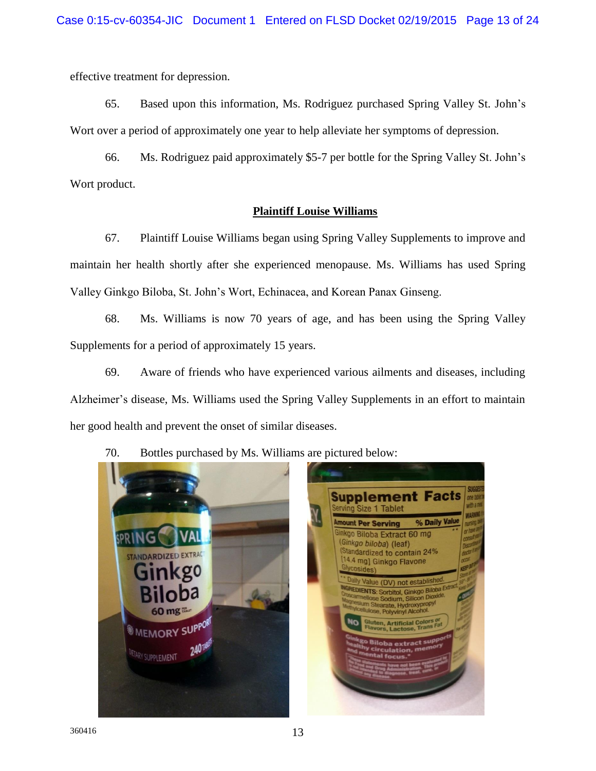effective treatment for depression.

65. Based upon this information, Ms. Rodriguez purchased Spring Valley St. John's Wort over a period of approximately one year to help alleviate her symptoms of depression.

66. Ms. Rodriguez paid approximately \$5-7 per bottle for the Spring Valley St. John's Wort product.

## **Plaintiff Louise Williams**

67. Plaintiff Louise Williams began using Spring Valley Supplements to improve and maintain her health shortly after she experienced menopause. Ms. Williams has used Spring Valley Ginkgo Biloba, St. John's Wort, Echinacea, and Korean Panax Ginseng.

68. Ms. Williams is now 70 years of age, and has been using the Spring Valley Supplements for a period of approximately 15 years.

69. Aware of friends who have experienced various ailments and diseases, including Alzheimer's disease, Ms. Williams used the Spring Valley Supplements in an effort to maintain her good health and prevent the onset of similar diseases.

70. Bottles purchased by Ms. Williams are pictured below:

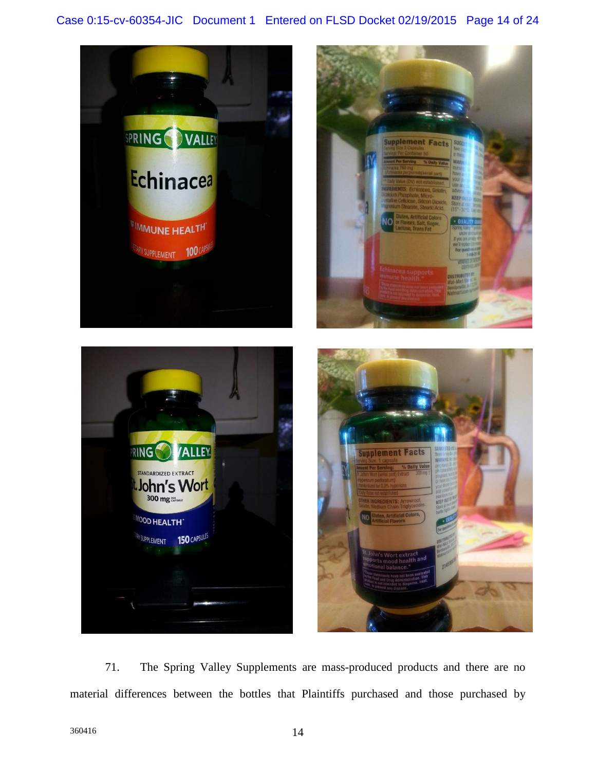



71. The Spring Valley Supplements are mass-produced products and there are no material differences between the bottles that Plaintiffs purchased and those purchased by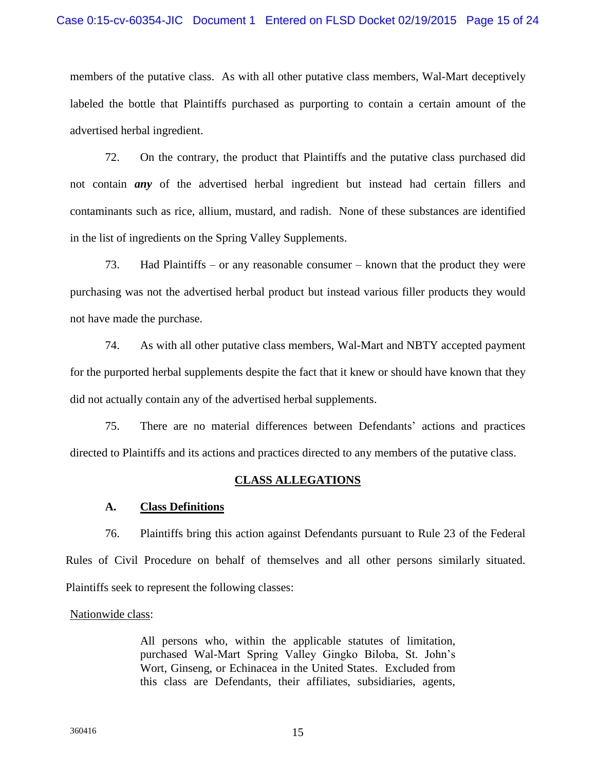members of the putative class. As with all other putative class members, Wal-Mart deceptively labeled the bottle that Plaintiffs purchased as purporting to contain a certain amount of the advertised herbal ingredient.

72. On the contrary, the product that Plaintiffs and the putative class purchased did not contain *any* of the advertised herbal ingredient but instead had certain fillers and contaminants such as rice, allium, mustard, and radish. None of these substances are identified in the list of ingredients on the Spring Valley Supplements.

73. Had Plaintiffs – or any reasonable consumer – known that the product they were purchasing was not the advertised herbal product but instead various filler products they would not have made the purchase.

74. As with all other putative class members, Wal-Mart and NBTY accepted payment for the purported herbal supplements despite the fact that it knew or should have known that they did not actually contain any of the advertised herbal supplements.

75. There are no material differences between Defendants' actions and practices directed to Plaintiffs and its actions and practices directed to any members of the putative class.

## **CLASS ALLEGATIONS**

## **A. Class Definitions**

76. Plaintiffs bring this action against Defendants pursuant to Rule 23 of the Federal Rules of Civil Procedure on behalf of themselves and all other persons similarly situated. Plaintiffs seek to represent the following classes:

## Nationwide class:

All persons who, within the applicable statutes of limitation, purchased Wal-Mart Spring Valley Gingko Biloba, St. John's Wort, Ginseng, or Echinacea in the United States. Excluded from this class are Defendants, their affiliates, subsidiaries, agents,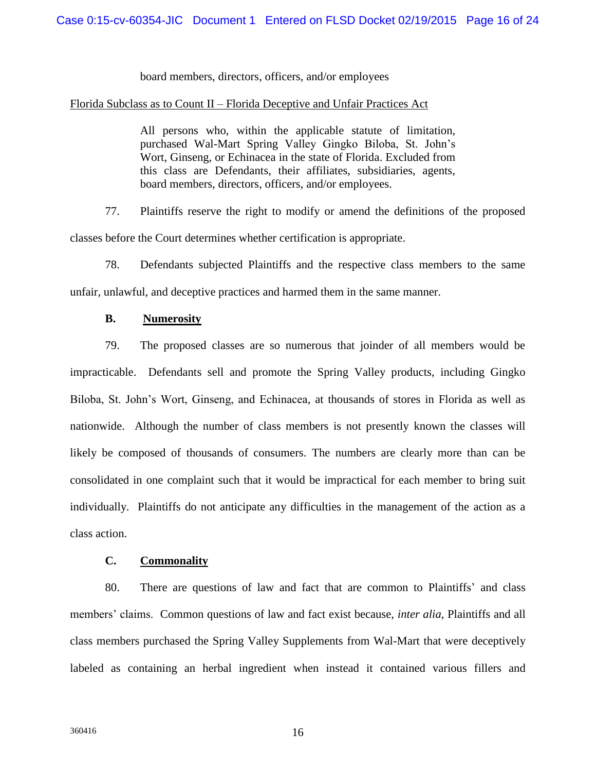## board members, directors, officers, and/or employees

#### Florida Subclass as to Count II – Florida Deceptive and Unfair Practices Act

All persons who, within the applicable statute of limitation, purchased Wal-Mart Spring Valley Gingko Biloba, St. John's Wort, Ginseng, or Echinacea in the state of Florida. Excluded from this class are Defendants, their affiliates, subsidiaries, agents, board members, directors, officers, and/or employees.

77. Plaintiffs reserve the right to modify or amend the definitions of the proposed classes before the Court determines whether certification is appropriate.

78. Defendants subjected Plaintiffs and the respective class members to the same unfair, unlawful, and deceptive practices and harmed them in the same manner.

## **B. Numerosity**

79. The proposed classes are so numerous that joinder of all members would be impracticable. Defendants sell and promote the Spring Valley products, including Gingko Biloba, St. John's Wort, Ginseng, and Echinacea, at thousands of stores in Florida as well as nationwide. Although the number of class members is not presently known the classes will likely be composed of thousands of consumers. The numbers are clearly more than can be consolidated in one complaint such that it would be impractical for each member to bring suit individually. Plaintiffs do not anticipate any difficulties in the management of the action as a class action.

## **C. Commonality**

80. There are questions of law and fact that are common to Plaintiffs' and class members' claims. Common questions of law and fact exist because, *inter alia*, Plaintiffs and all class members purchased the Spring Valley Supplements from Wal-Mart that were deceptively labeled as containing an herbal ingredient when instead it contained various fillers and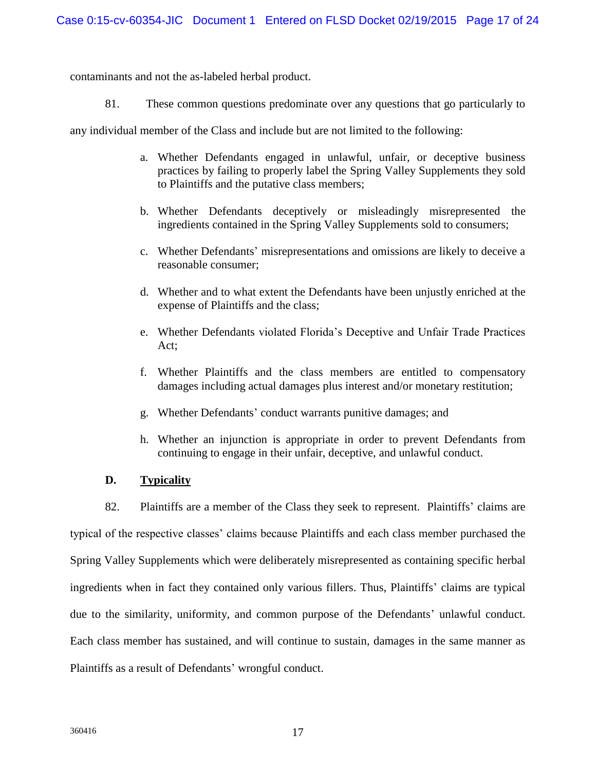contaminants and not the as-labeled herbal product.

81. These common questions predominate over any questions that go particularly to

any individual member of the Class and include but are not limited to the following:

- a. Whether Defendants engaged in unlawful, unfair, or deceptive business practices by failing to properly label the Spring Valley Supplements they sold to Plaintiffs and the putative class members;
- b. Whether Defendants deceptively or misleadingly misrepresented the ingredients contained in the Spring Valley Supplements sold to consumers;
- c. Whether Defendants' misrepresentations and omissions are likely to deceive a reasonable consumer;
- d. Whether and to what extent the Defendants have been unjustly enriched at the expense of Plaintiffs and the class;
- e. Whether Defendants violated Florida's Deceptive and Unfair Trade Practices Act;
- f. Whether Plaintiffs and the class members are entitled to compensatory damages including actual damages plus interest and/or monetary restitution;
- g. Whether Defendants' conduct warrants punitive damages; and
- h. Whether an injunction is appropriate in order to prevent Defendants from continuing to engage in their unfair, deceptive, and unlawful conduct.

## **D. Typicality**

82. Plaintiffs are a member of the Class they seek to represent. Plaintiffs' claims are typical of the respective classes' claims because Plaintiffs and each class member purchased the Spring Valley Supplements which were deliberately misrepresented as containing specific herbal ingredients when in fact they contained only various fillers. Thus, Plaintiffs' claims are typical due to the similarity, uniformity, and common purpose of the Defendants' unlawful conduct. Each class member has sustained, and will continue to sustain, damages in the same manner as Plaintiffs as a result of Defendants' wrongful conduct.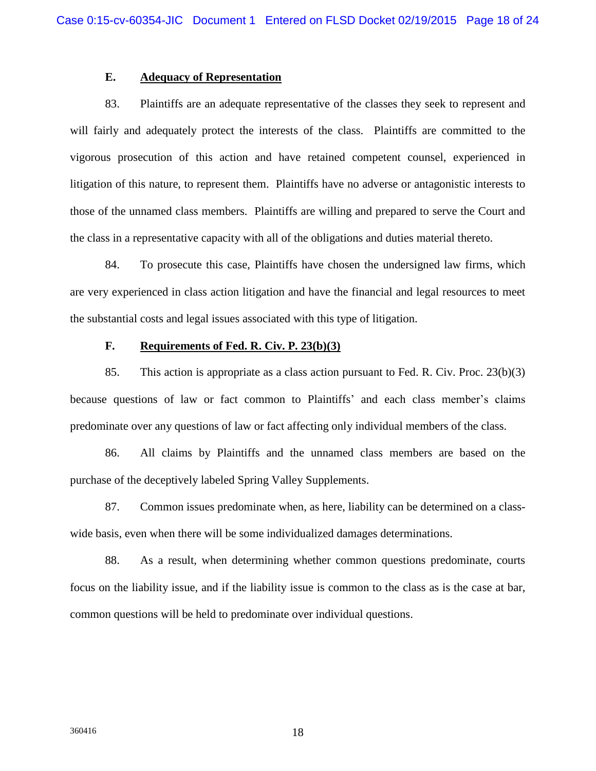## **E. Adequacy of Representation**

83. Plaintiffs are an adequate representative of the classes they seek to represent and will fairly and adequately protect the interests of the class. Plaintiffs are committed to the vigorous prosecution of this action and have retained competent counsel, experienced in litigation of this nature, to represent them. Plaintiffs have no adverse or antagonistic interests to those of the unnamed class members. Plaintiffs are willing and prepared to serve the Court and the class in a representative capacity with all of the obligations and duties material thereto.

84. To prosecute this case, Plaintiffs have chosen the undersigned law firms, which are very experienced in class action litigation and have the financial and legal resources to meet the substantial costs and legal issues associated with this type of litigation.

#### **F. Requirements of Fed. R. Civ. P. 23(b)(3)**

85. This action is appropriate as a class action pursuant to Fed. R. Civ. Proc. 23(b)(3) because questions of law or fact common to Plaintiffs' and each class member's claims predominate over any questions of law or fact affecting only individual members of the class.

86. All claims by Plaintiffs and the unnamed class members are based on the purchase of the deceptively labeled Spring Valley Supplements.

87. Common issues predominate when, as here, liability can be determined on a classwide basis, even when there will be some individualized damages determinations.

88. As a result, when determining whether common questions predominate, courts focus on the liability issue, and if the liability issue is common to the class as is the case at bar, common questions will be held to predominate over individual questions.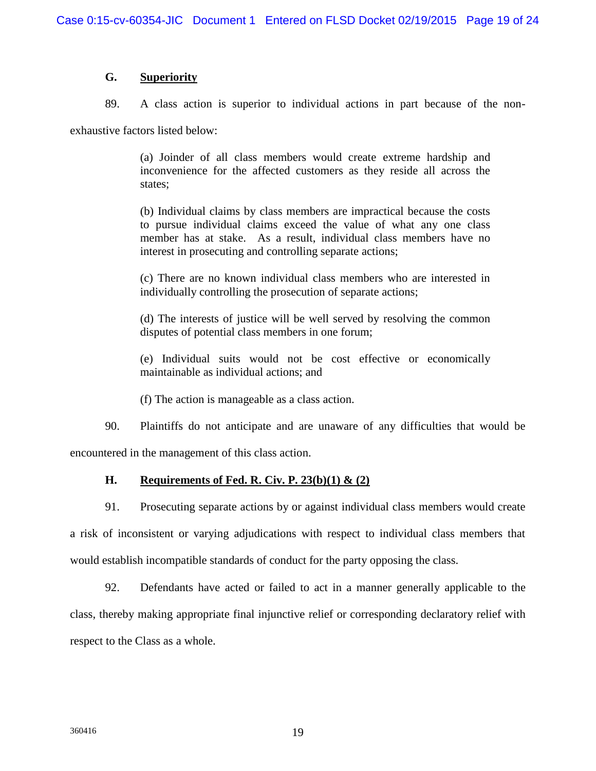## **G. Superiority**

89. A class action is superior to individual actions in part because of the non-

exhaustive factors listed below:

(a) Joinder of all class members would create extreme hardship and inconvenience for the affected customers as they reside all across the states;

(b) Individual claims by class members are impractical because the costs to pursue individual claims exceed the value of what any one class member has at stake. As a result, individual class members have no interest in prosecuting and controlling separate actions;

(c) There are no known individual class members who are interested in individually controlling the prosecution of separate actions;

(d) The interests of justice will be well served by resolving the common disputes of potential class members in one forum;

(e) Individual suits would not be cost effective or economically maintainable as individual actions; and

(f) The action is manageable as a class action.

90. Plaintiffs do not anticipate and are unaware of any difficulties that would be encountered in the management of this class action.

**H. Requirements of Fed. R. Civ. P. 23(b)(1) & (2)**

91. Prosecuting separate actions by or against individual class members would create

a risk of inconsistent or varying adjudications with respect to individual class members that would establish incompatible standards of conduct for the party opposing the class.

92. Defendants have acted or failed to act in a manner generally applicable to the class, thereby making appropriate final injunctive relief or corresponding declaratory relief with respect to the Class as a whole.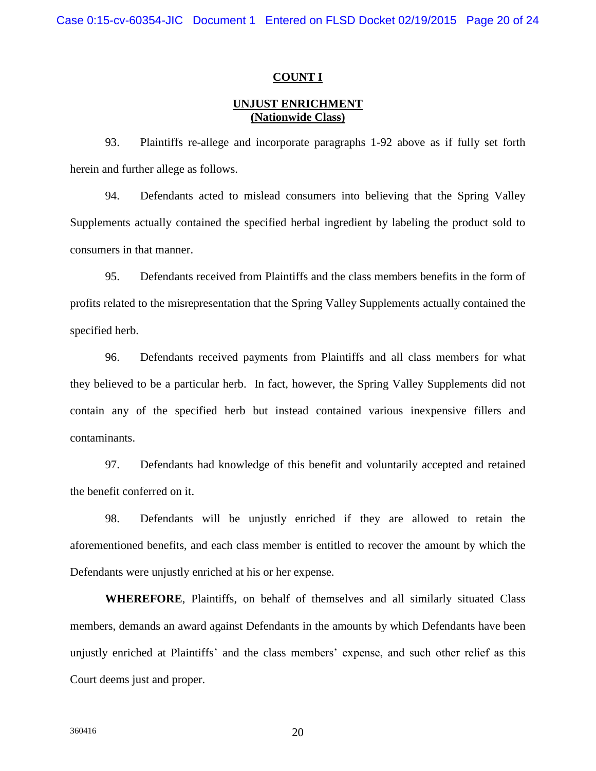#### **COUNT I**

## **UNJUST ENRICHMENT (Nationwide Class)**

93. Plaintiffs re-allege and incorporate paragraphs 1-92 above as if fully set forth herein and further allege as follows.

94. Defendants acted to mislead consumers into believing that the Spring Valley Supplements actually contained the specified herbal ingredient by labeling the product sold to consumers in that manner.

95. Defendants received from Plaintiffs and the class members benefits in the form of profits related to the misrepresentation that the Spring Valley Supplements actually contained the specified herb.

96. Defendants received payments from Plaintiffs and all class members for what they believed to be a particular herb. In fact, however, the Spring Valley Supplements did not contain any of the specified herb but instead contained various inexpensive fillers and contaminants.

97. Defendants had knowledge of this benefit and voluntarily accepted and retained the benefit conferred on it.

98. Defendants will be unjustly enriched if they are allowed to retain the aforementioned benefits, and each class member is entitled to recover the amount by which the Defendants were unjustly enriched at his or her expense.

**WHEREFORE**, Plaintiffs, on behalf of themselves and all similarly situated Class members, demands an award against Defendants in the amounts by which Defendants have been unjustly enriched at Plaintiffs' and the class members' expense, and such other relief as this Court deems just and proper.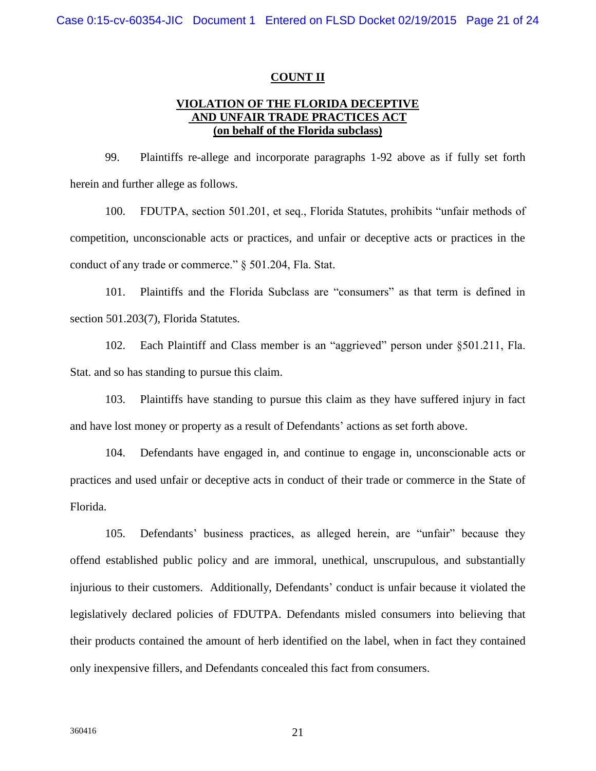#### **COUNT II**

## **VIOLATION OF THE FLORIDA DECEPTIVE AND UNFAIR TRADE PRACTICES ACT (on behalf of the Florida subclass)**

99. Plaintiffs re-allege and incorporate paragraphs 1-92 above as if fully set forth herein and further allege as follows.

100. FDUTPA, section 501.201, et seq., Florida Statutes, prohibits "unfair methods of competition, unconscionable acts or practices, and unfair or deceptive acts or practices in the conduct of any trade or commerce." § 501.204, Fla. Stat.

101. Plaintiffs and the Florida Subclass are "consumers" as that term is defined in section 501.203(7), Florida Statutes.

102. Each Plaintiff and Class member is an "aggrieved" person under §501.211, Fla. Stat. and so has standing to pursue this claim.

103. Plaintiffs have standing to pursue this claim as they have suffered injury in fact and have lost money or property as a result of Defendants' actions as set forth above.

104. Defendants have engaged in, and continue to engage in, unconscionable acts or practices and used unfair or deceptive acts in conduct of their trade or commerce in the State of Florida.

105. Defendants' business practices, as alleged herein, are "unfair" because they offend established public policy and are immoral, unethical, unscrupulous, and substantially injurious to their customers. Additionally, Defendants' conduct is unfair because it violated the legislatively declared policies of FDUTPA. Defendants misled consumers into believing that their products contained the amount of herb identified on the label, when in fact they contained only inexpensive fillers, and Defendants concealed this fact from consumers.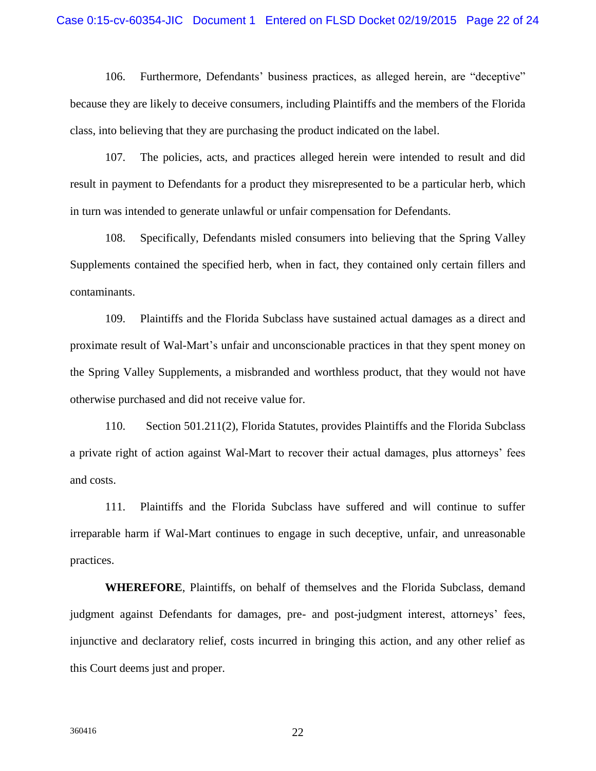#### Case 0:15-cv-60354-JIC Document 1 Entered on FLSD Docket 02/19/2015 Page 22 of 24

106. Furthermore, Defendants' business practices, as alleged herein, are "deceptive" because they are likely to deceive consumers, including Plaintiffs and the members of the Florida class, into believing that they are purchasing the product indicated on the label.

107. The policies, acts, and practices alleged herein were intended to result and did result in payment to Defendants for a product they misrepresented to be a particular herb, which in turn was intended to generate unlawful or unfair compensation for Defendants.

108. Specifically, Defendants misled consumers into believing that the Spring Valley Supplements contained the specified herb, when in fact, they contained only certain fillers and contaminants.

109. Plaintiffs and the Florida Subclass have sustained actual damages as a direct and proximate result of Wal-Mart's unfair and unconscionable practices in that they spent money on the Spring Valley Supplements, a misbranded and worthless product, that they would not have otherwise purchased and did not receive value for.

110. Section 501.211(2), Florida Statutes, provides Plaintiffs and the Florida Subclass a private right of action against Wal-Mart to recover their actual damages, plus attorneys' fees and costs.

111. Plaintiffs and the Florida Subclass have suffered and will continue to suffer irreparable harm if Wal-Mart continues to engage in such deceptive, unfair, and unreasonable practices.

**WHEREFORE**, Plaintiffs, on behalf of themselves and the Florida Subclass, demand judgment against Defendants for damages, pre- and post-judgment interest, attorneys' fees, injunctive and declaratory relief, costs incurred in bringing this action, and any other relief as this Court deems just and proper.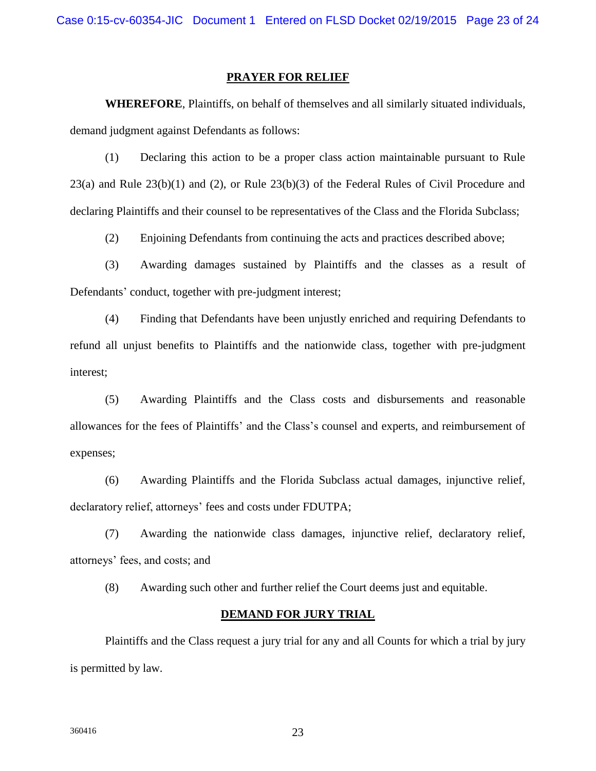#### **PRAYER FOR RELIEF**

**WHEREFORE**, Plaintiffs, on behalf of themselves and all similarly situated individuals, demand judgment against Defendants as follows:

(1) Declaring this action to be a proper class action maintainable pursuant to Rule  $23(a)$  and Rule  $23(b)(1)$  and (2), or Rule  $23(b)(3)$  of the Federal Rules of Civil Procedure and declaring Plaintiffs and their counsel to be representatives of the Class and the Florida Subclass;

(2) Enjoining Defendants from continuing the acts and practices described above;

(3) Awarding damages sustained by Plaintiffs and the classes as a result of Defendants' conduct, together with pre-judgment interest;

(4) Finding that Defendants have been unjustly enriched and requiring Defendants to refund all unjust benefits to Plaintiffs and the nationwide class, together with pre-judgment interest;

(5) Awarding Plaintiffs and the Class costs and disbursements and reasonable allowances for the fees of Plaintiffs' and the Class's counsel and experts, and reimbursement of expenses;

(6) Awarding Plaintiffs and the Florida Subclass actual damages, injunctive relief, declaratory relief, attorneys' fees and costs under FDUTPA;

(7) Awarding the nationwide class damages, injunctive relief, declaratory relief, attorneys' fees, and costs; and

(8) Awarding such other and further relief the Court deems just and equitable.

#### **DEMAND FOR JURY TRIAL**

Plaintiffs and the Class request a jury trial for any and all Counts for which a trial by jury is permitted by law.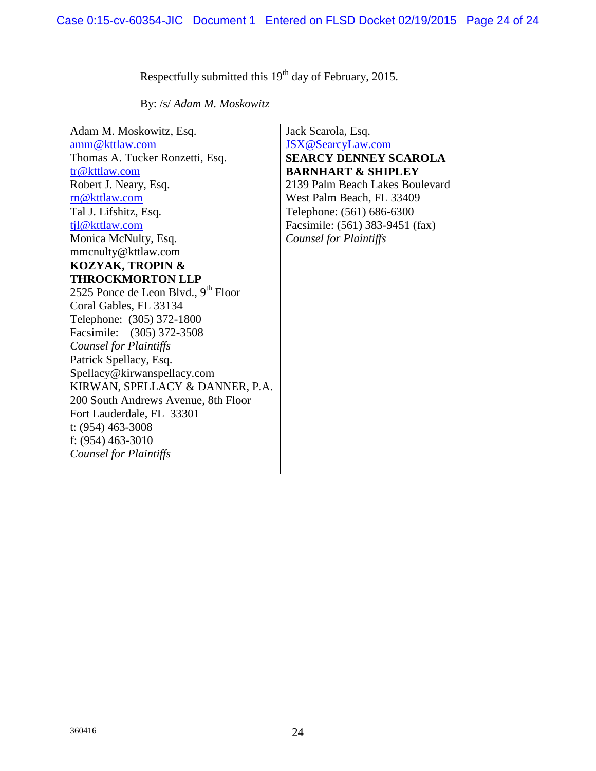Respectfully submitted this  $19<sup>th</sup>$  day of February, 2015.

By: /s/ *Adam M. Moskowitz*

| Adam M. Moskowitz, Esq.                         | Jack Scarola, Esq.              |
|-------------------------------------------------|---------------------------------|
| amm@kttlaw.com                                  | JSX@SearcyLaw.com               |
| Thomas A. Tucker Ronzetti, Esq.                 | <b>SEARCY DENNEY SCAROLA</b>    |
| tr@kttlaw.com                                   | <b>BARNHART &amp; SHIPLEY</b>   |
| Robert J. Neary, Esq.                           | 2139 Palm Beach Lakes Boulevard |
| rn@kttlaw.com                                   | West Palm Beach, FL 33409       |
| Tal J. Lifshitz, Esq.                           | Telephone: (561) 686-6300       |
| tjl@kttlaw.com                                  | Facsimile: (561) 383-9451 (fax) |
| Monica McNulty, Esq.                            | <b>Counsel for Plaintiffs</b>   |
| mmcnulty@kttlaw.com                             |                                 |
| <b>KOZYAK, TROPIN &amp;</b>                     |                                 |
| <b>THROCKMORTON LLP</b>                         |                                 |
| 2525 Ponce de Leon Blvd., 9 <sup>th</sup> Floor |                                 |
| Coral Gables, FL 33134                          |                                 |
| Telephone: (305) 372-1800                       |                                 |
| Facsimile: (305) 372-3508                       |                                 |
| <b>Counsel for Plaintiffs</b>                   |                                 |
| Patrick Spellacy, Esq.                          |                                 |
| Spellacy@kirwanspellacy.com                     |                                 |
| KIRWAN, SPELLACY & DANNER, P.A.                 |                                 |
| 200 South Andrews Avenue, 8th Floor             |                                 |
| Fort Lauderdale, FL 33301                       |                                 |
| t: $(954)$ 463-3008                             |                                 |
| f: $(954)$ 463-3010                             |                                 |
| <b>Counsel for Plaintiffs</b>                   |                                 |
|                                                 |                                 |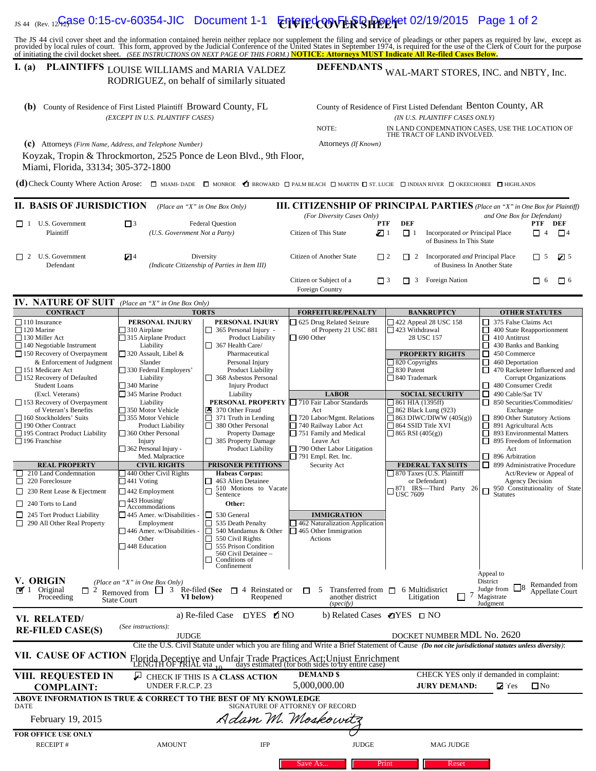# IS 44 (Rev. 12**C<sub>C</sub>ASE 0:15-cv-60354-JIC** Document 1-1 **Entered on FLR BIPPPH**et 02/19/2015 Page 1 of 2

The JS 44 civil cover sheet and the information contained herein neither replace nor supplement the filing and service of pleadings or other papers as required by law, except as<br>provided by local rules of court. This form,

## **I.** (a) PLAINTIFFS LOUISE WILLIAMS and MARIA VALDEZ RODRIGUEZ, on behalf of similarly situated

DEFENDANTS WAL-MART STORES, INC. and NBTY, Inc.

| 1. (a)                                                                                                                                                                                                                                                                                                                                                                                                                                           | PLAINTIFFS LOUISE WILLIAMS and MARIA VALDEZ<br>RODRIGUEZ, on behalf of similarly situated                                                                   |                                                                                                                                                                                                 | <b>DEFENDANIS</b><br>WAL-MART STORES, INC. and NBTY, Inc.                                                                                                                                    |                                                                                                                                                 |                                                                                                                                                                                  |  |
|--------------------------------------------------------------------------------------------------------------------------------------------------------------------------------------------------------------------------------------------------------------------------------------------------------------------------------------------------------------------------------------------------------------------------------------------------|-------------------------------------------------------------------------------------------------------------------------------------------------------------|-------------------------------------------------------------------------------------------------------------------------------------------------------------------------------------------------|----------------------------------------------------------------------------------------------------------------------------------------------------------------------------------------------|-------------------------------------------------------------------------------------------------------------------------------------------------|----------------------------------------------------------------------------------------------------------------------------------------------------------------------------------|--|
| (b) County of Residence of First Listed Plaintiff Broward County, FL                                                                                                                                                                                                                                                                                                                                                                             | (EXCEPT IN U.S. PLAINTIFF CASES)                                                                                                                            |                                                                                                                                                                                                 | County of Residence of First Listed Defendant Benton County, AR<br>(IN U.S. PLAINTIFF CASES ONLY)<br>NOTE:<br>IN LAND CONDEMNATION CASES, USE THE LOCATION OF<br>THE TRACT OF LAND INVOLVED. |                                                                                                                                                 |                                                                                                                                                                                  |  |
| (C) Attorneys (Firm Name, Address, and Telephone Number)<br>Koyzak, Tropin & Throckmorton, 2525 Ponce de Leon Blvd., 9th Floor,<br>Miami, Florida, 33134; 305-372-1800                                                                                                                                                                                                                                                                           |                                                                                                                                                             |                                                                                                                                                                                                 | Attorneys (If Known)                                                                                                                                                                         |                                                                                                                                                 |                                                                                                                                                                                  |  |
| (d) Check County Where Action Arose: $\Box$ MIAMI-DADE $\Box$ MONROE $\Box$ BROWARD $\Box$ PALM BEACH $\Box$ MARTIN $\Box$ ST. LUCIE $\Box$ INDIAN RIVER $\Box$ OKEECHOBEE $\Box$ HIGHLANDS                                                                                                                                                                                                                                                      |                                                                                                                                                             |                                                                                                                                                                                                 |                                                                                                                                                                                              |                                                                                                                                                 |                                                                                                                                                                                  |  |
| II. BASIS OF JURISDICTION                                                                                                                                                                                                                                                                                                                                                                                                                        | (Place an "X" in One Box Only)                                                                                                                              |                                                                                                                                                                                                 |                                                                                                                                                                                              |                                                                                                                                                 | <b>III. CITIZENSHIP OF PRINCIPAL PARTIES</b> (Place an "X" in One Box for Plaintiff)                                                                                             |  |
| $\Box$ 1 U.S. Government<br>Plaintiff                                                                                                                                                                                                                                                                                                                                                                                                            | $\Box$ <sup>3</sup><br><b>Federal Question</b><br>(U.S. Government Not a Party)                                                                             |                                                                                                                                                                                                 | (For Diversity Cases Only)<br>Citizen of This State<br>1 ⊠ب                                                                                                                                  | PTF<br>DEF<br>$\Box$ 1<br>Incorporated or Principal Place<br>of Business In This State                                                          | and One Box for Defendant)<br>PTF DEF<br>$\Box$ 4<br>$\Box$ 4                                                                                                                    |  |
| U.S. Government<br>$\Box$ 2<br>Defendant                                                                                                                                                                                                                                                                                                                                                                                                         | $\mathbb{Z}^4$                                                                                                                                              | Diversity<br>(Indicate Citizenship of Parties in Item III)                                                                                                                                      | Citizen of Another State                                                                                                                                                                     | $\Box$ 2 Incorporated <i>and</i> Principal Place<br>$\Box$ 2<br>of Business In Another State                                                    | $Z^5$<br>$\Box$ 5                                                                                                                                                                |  |
|                                                                                                                                                                                                                                                                                                                                                                                                                                                  |                                                                                                                                                             |                                                                                                                                                                                                 | Citizen or Subject of a<br>Foreign Country                                                                                                                                                   | $\Box$ 3<br><b>Foreign Nation</b><br>$\Box$ 3                                                                                                   | $\Box$ 6<br>п<br>-6                                                                                                                                                              |  |
| <b>IV. NATURE OF SUIT</b> (Place an "X" in One Box Only)                                                                                                                                                                                                                                                                                                                                                                                         |                                                                                                                                                             |                                                                                                                                                                                                 |                                                                                                                                                                                              |                                                                                                                                                 |                                                                                                                                                                                  |  |
| <b>CONTRACT</b><br>$\Box$ 110 Insurance                                                                                                                                                                                                                                                                                                                                                                                                          | PERSONAL INJURY                                                                                                                                             | <b>TORTS</b><br>PERSONAL INJURY                                                                                                                                                                 | <b>FORFEITURE/PENALTY</b><br>625 Drug Related Seizure                                                                                                                                        | <b>BANKRUPTCY</b><br>$\Box$ 422 Appeal 28 USC 158                                                                                               | <b>OTHER STATUTES</b><br>$\Box$ 375 False Claims Act                                                                                                                             |  |
| 120 Marine<br>130 Miller Act<br>$\Box$ 140 Negotiable Instrument<br>150 Recovery of Overpayment<br>& Enforcement of Judgment<br>151 Medicare Act                                                                                                                                                                                                                                                                                                 | 310 Airplane<br>315 Airplane Product<br>Liability<br>$\Box$ 320 Assault, Libel &<br>Slander<br>330 Federal Employers'                                       | $\Box$ 365 Personal Injury -<br><b>Product Liability</b><br>$\Box$ 367 Health Care/<br>Pharmaceutical<br>Personal Injury<br>Product Liability                                                   | of Property 21 USC 881<br>$\Box$ 690 Other                                                                                                                                                   | $\Box$ 423 Withdrawal<br>28 USC 157<br><b>PROPERTY RIGHTS</b><br>$\Box$ 820 Copyrights<br>□ 830 Patent                                          | $\Box$ 400 State Reapportionment<br>$\Box$ 410 Antitrust<br>$\Box$ 430 Banks and Banking<br>$\Box$ 450 Commerce<br>$\Box$ 460 Deportation<br>$\Box$ 470 Racketeer Influenced and |  |
| 152 Recovery of Defaulted<br><b>Student Loans</b><br>(Excl. Veterans)                                                                                                                                                                                                                                                                                                                                                                            | Liability<br>340 Marine<br>345 Marine Product                                                                                                               | 368 Asbestos Personal<br><b>Injury Product</b><br>Liability                                                                                                                                     | <b>LABOR</b>                                                                                                                                                                                 | $\Box$ 840 Trademark<br><b>SOCIAL SECURITY</b>                                                                                                  | Corrupt Organizations<br>$\Box$ 480 Consumer Credit<br>$\Box$ 490 Cable/Sat TV                                                                                                   |  |
| $\Box$ 153 Recovery of Overpayment<br>of Veteran's Benefits<br>160 Stockholders' Suits<br>190 Other Contract<br>□ 195 Contract Product Liability<br>$\Box$ 196 Franchise                                                                                                                                                                                                                                                                         | Liability<br>350 Motor Vehicle<br>355 Motor Vehicle<br><b>Product Liability</b><br>360 Other Personal<br>Injury<br>$\Box$ 362 Personal Injury -             | PERSONAL PROPERTY<br>370 Other Fraud<br>371 Truth in Lendin<br>380 Other Personal<br>371 Truth in Lending<br><b>Property Damage</b><br>385 Property Damage<br><b>Product Liability</b>          | 710 Fair Labor Standards<br>Act<br>720 Labor/Mgmt. Relations<br>740 Railway Labor Act<br>751 Family and Medical<br>Leave Act<br>$\Box$ 790 Other Labor Litigation                            | $\Box$ 861 HIA (1395ff)<br>$\Box$ 862 Black Lung (923)<br>$\Box$ 863 DIWC/DIWW (405(g))<br>$\Box$ 864 SSID Title XVI<br>$\Box$ 865 RSI (405(g)) | 850 Securities/Commodities/<br>Exchange<br>□ 890 Other Statutory Actions<br>□ 891 Agricultural Acts<br>□ 893 Environmental Matters<br>□ 895 Freedom of Information<br>Act        |  |
| <b>REAL PROPERTY</b><br>$\Box$ 210 Land Condemnation<br>$\Box$ 220 Foreclosure<br>$\Box$ 230 Rent Lease & Ejectment<br>240 Torts to Land                                                                                                                                                                                                                                                                                                         | Med. Malpractice<br><b>CIVIL RIGHTS</b><br>440 Other Civil Rights<br>$\Box$ 441 Voting<br>$\Box$ 442 Employment<br>$-443$ Housing/<br>$\Box$ Accommodations | <b>PRISONER PETITIONS</b><br><b>Habeas Corpus:</b><br>463 Alien Detainee<br>□<br>510 Motions to Vacate<br>$\Box$<br>Sentence<br>Other:                                                          | $\Box$ 791 Empl. Ret. Inc.<br>Security Act                                                                                                                                                   | <b>FEDERAL TAX SUITS</b><br>□ 870 Taxes (U.S. Plaintiff<br>or Defendant)<br>$\Box^{871~\,$ IRS—Third Party 26<br>USC 7609                       | $\Box$ 896 Arbitration<br>□ 899 Administrative Procedure<br>Act/Review or Appeal of<br><b>Agency Decision</b><br>$\Box$ 950 Constitutionality of State                           |  |
| $\Box$ 245 Tort Product Liability<br>$\Box$ 290 All Other Real Property                                                                                                                                                                                                                                                                                                                                                                          | $\Box$ 445 Amer. w/Disabilities -<br>Employment<br>$\Box$ 446 Amer. w/Disabilities<br>Other<br>448 Education                                                | □<br>530 General<br>535 Death Penalty<br>□<br>□<br>540 Mandamus & Other<br>$\Box$<br>550 Civil Rights<br>□<br>555 Prison Condition<br>560 Civil Detainee -<br>⊏<br>Conditions of<br>Confinement | <b>IMMIGRATION</b><br>462 Naturalization Application<br>465 Other Immigration<br>Actions                                                                                                     |                                                                                                                                                 |                                                                                                                                                                                  |  |
| Appeal to<br>V. ORIGIN<br>District<br>(Place an "X" in One Box Only)<br>Remanded from<br>Judge from<br>$\mathbf{W}$ 1 Original<br>Re-filed (See $\Box$ 4 Reinstated or<br>Transferred from $\Box$ 6 Multidistrict<br>Removed from $\Box$ 3<br>п<br>5<br>$\Box$ 2<br>Appellate Court<br>$\frac{1}{2}$<br>another district<br>Magistrate<br>Proceeding<br>VI below)<br>Litigation<br>ΙI<br>Reopened<br><b>State Court</b><br>Judgment<br>(specify) |                                                                                                                                                             |                                                                                                                                                                                                 |                                                                                                                                                                                              |                                                                                                                                                 |                                                                                                                                                                                  |  |
| VI. RELATED/<br><b>RE-FILED CASE(S)</b>                                                                                                                                                                                                                                                                                                                                                                                                          | (See instructions):<br><b>JUDGE</b>                                                                                                                         | a) Re-filed Case<br>$TPS$ MO                                                                                                                                                                    | b) Related Cases $\blacksquare$ YES $\square$ NO                                                                                                                                             | DOCKET NUMBER MDL No. 2620                                                                                                                      |                                                                                                                                                                                  |  |
| Cite the U.S. Civil Statute under which you are filing and Write a Brief Statement of Cause (Do not cite jurisdictional statutes unless diversity):<br>VII. CAUSE OF ACTION<br>Florida Deceptive and Unfair Trade Practices Act; Unjust Enrichment<br>LENGTH OF TRIAL via 10 days estimated (for both sides to try entire case)                                                                                                                  |                                                                                                                                                             |                                                                                                                                                                                                 |                                                                                                                                                                                              |                                                                                                                                                 |                                                                                                                                                                                  |  |
| VIII. REQUESTED IN<br><b>COMPLAINT:</b>                                                                                                                                                                                                                                                                                                                                                                                                          | days estimated (for both sides to try entire case)<br><b>DEMAND \$</b><br>لىل<br>CHECK IF THIS IS A CLASS ACTION<br>5,000,000.00<br>UNDER F.R.C.P. 23       |                                                                                                                                                                                                 |                                                                                                                                                                                              | CHECK YES only if demanded in complaint:<br>$\Box$ No<br><b>JURY DEMAND:</b><br>$\mathbf{z}$ Yes                                                |                                                                                                                                                                                  |  |
| ABOVE INFORMATION IS TRUE & CORRECT TO THE BEST OF MY KNOWLEDGE<br><b>DATE</b>                                                                                                                                                                                                                                                                                                                                                                   |                                                                                                                                                             |                                                                                                                                                                                                 | SIGNATURE OF ATTORNEY OF RECORD                                                                                                                                                              |                                                                                                                                                 |                                                                                                                                                                                  |  |
| February 19, 2015                                                                                                                                                                                                                                                                                                                                                                                                                                |                                                                                                                                                             |                                                                                                                                                                                                 | Adam M. Moskowitz                                                                                                                                                                            |                                                                                                                                                 |                                                                                                                                                                                  |  |
| <b>FOR OFFICE USE ONLY</b><br><b>RECEIPT#</b>                                                                                                                                                                                                                                                                                                                                                                                                    | <b>AMOUNT</b>                                                                                                                                               | IFP                                                                                                                                                                                             | <b>JUDGE</b>                                                                                                                                                                                 | <b>MAG JUDGE</b>                                                                                                                                |                                                                                                                                                                                  |  |

Save As... Fint Print Reset